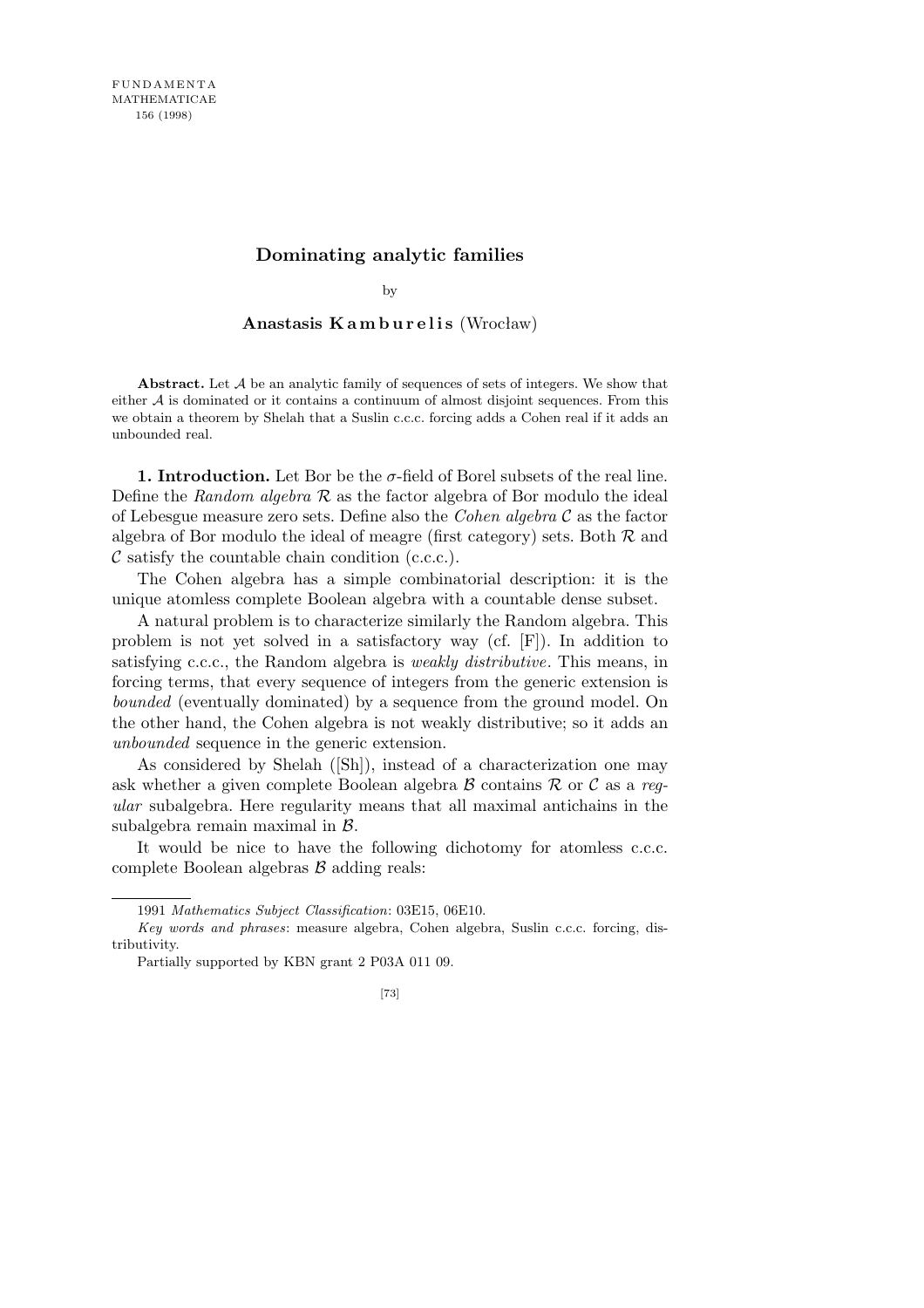# **Dominating analytic families**

by

## Anastasis K a m b u r e l i s (Wrocław)

**Abstract.** Let *A* be an analytic family of sequences of sets of integers. We show that either  $A$  is dominated or it contains a continuum of almost disjoint sequences. From this we obtain a theorem by Shelah that a Suslin c.c.c. forcing adds a Cohen real if it adds an unbounded real.

**1. Introduction.** Let Bor be the  $\sigma$ -field of Borel subsets of the real line. Define the *Random algebra R* as the factor algebra of Bor modulo the ideal of Lebesgue measure zero sets. Define also the *Cohen algebra C* as the factor algebra of Bor modulo the ideal of meagre (first category) sets. Both *R* and *C* satisfy the countable chain condition (c.c.c.).

The Cohen algebra has a simple combinatorial description: it is the unique atomless complete Boolean algebra with a countable dense subset.

A natural problem is to characterize similarly the Random algebra. This problem is not yet solved in a satisfactory way (cf. [F]). In addition to satisfying c.c.c., the Random algebra is *weakly distributive*. This means, in forcing terms, that every sequence of integers from the generic extension is *bounded* (eventually dominated) by a sequence from the ground model. On the other hand, the Cohen algebra is not weakly distributive; so it adds an *unbounded* sequence in the generic extension.

As considered by Shelah ([Sh]), instead of a characterization one may ask whether a given complete Boolean algebra *B* contains *R* or *C* as a *regular* subalgebra. Here regularity means that all maximal antichains in the subalgebra remain maximal in *B*.

It would be nice to have the following dichotomy for atomless c.c.c. complete Boolean algebras *B* adding reals:

<sup>1991</sup> *Mathematics Subject Classification*: 03E15, 06E10.

*Key words and phrases*: measure algebra, Cohen algebra, Suslin c.c.c. forcing, distributivity.

Partially supported by KBN grant 2 P03A 011 09.

<sup>[73]</sup>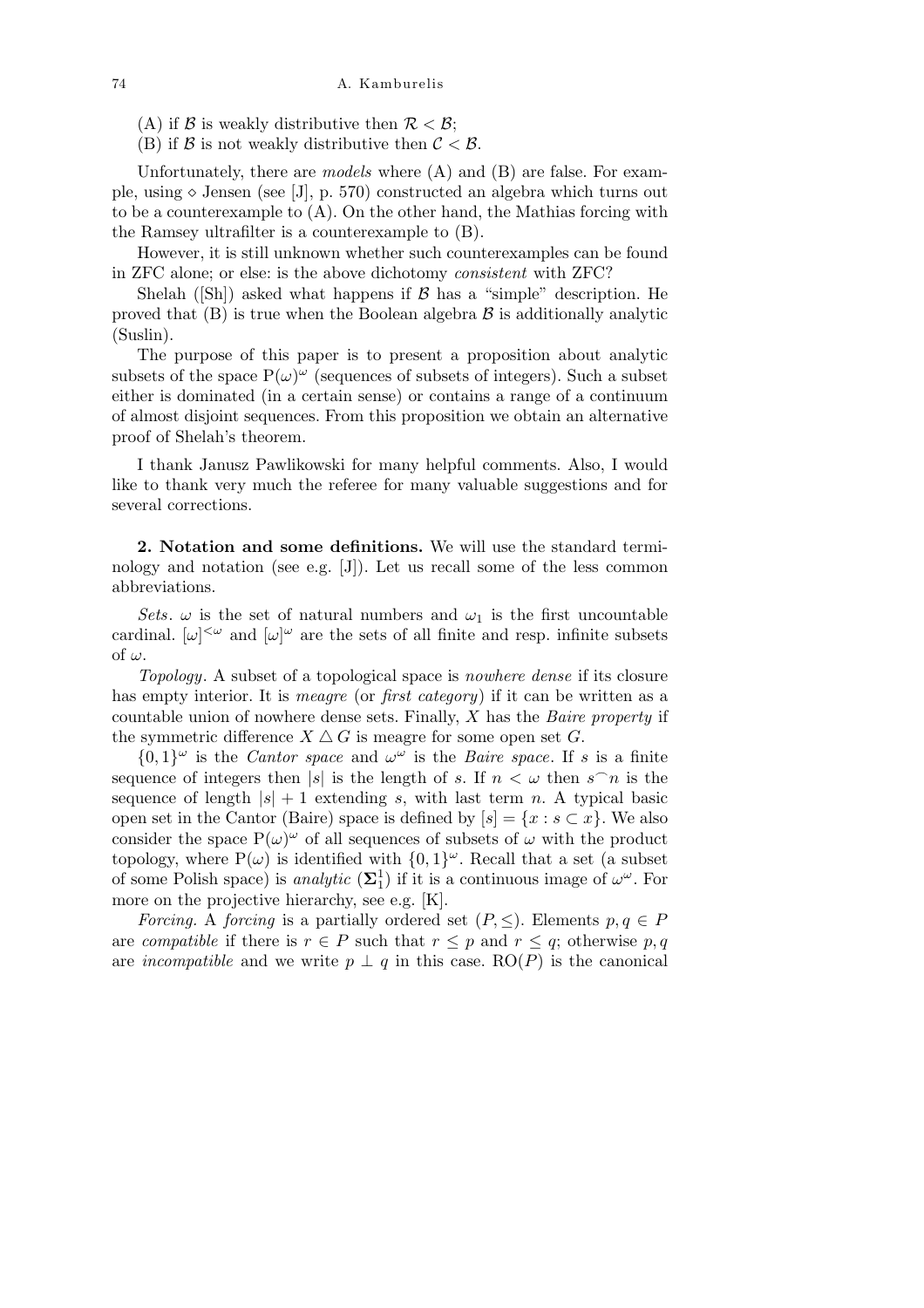(A) if *B* is weakly distributive then  $\mathcal{R} < \mathcal{B}$ ;

(B) if  $\beta$  is not weakly distributive then  $\beta < \beta$ .

Unfortunately, there are *models* where (A) and (B) are false. For example, using  $\diamond$  Jensen (see [J], p. 570) constructed an algebra which turns out to be a counterexample to (A). On the other hand, the Mathias forcing with the Ramsey ultrafilter is a counterexample to (B).

However, it is still unknown whether such counterexamples can be found in ZFC alone; or else: is the above dichotomy *consistent* with ZFC?

Shelah ([Sh]) asked what happens if *B* has a "simple" description. He proved that  $(B)$  is true when the Boolean algebra  $B$  is additionally analytic (Suslin).

The purpose of this paper is to present a proposition about analytic subsets of the space  $P(\omega)^\omega$  (sequences of subsets of integers). Such a subset either is dominated (in a certain sense) or contains a range of a continuum of almost disjoint sequences. From this proposition we obtain an alternative proof of Shelah's theorem.

I thank Janusz Pawlikowski for many helpful comments. Also, I would like to thank very much the referee for many valuable suggestions and for several corrections.

**2. Notation and some definitions.** We will use the standard terminology and notation (see e.g. [J]). Let us recall some of the less common abbreviations.

*Sets.*  $\omega$  is the set of natural numbers and  $\omega_1$  is the first uncountable cardinal.  $[\omega]^{<\omega}$  and  $[\omega]^{<\omega}$  are the sets of all finite and resp. infinite subsets of *ω*.

*Topology*. A subset of a topological space is *nowhere dense* if its closure has empty interior. It is *meagre* (or *first category*) if it can be written as a countable union of nowhere dense sets. Finally, *X* has the *Baire property* if the symmetric difference  $X \triangle G$  is meagre for some open set  $G$ .

 $\{0,1\}^\omega$  is the *Cantor space* and  $\omega^\omega$  is the *Baire space*. If *s* is a finite sequence of integers then |*s*| is the length of *s*. If  $n < \omega$  then  $s \cap n$  is the sequence of length  $|s| + 1$  extending *s*, with last term *n*. A typical basic open set in the Cantor (Baire) space is defined by  $[s] = \{x : s \subset x\}$ . We also consider the space  $P(\omega)^{\omega}$  of all sequences of subsets of  $\omega$  with the product topology, where  $P(\omega)$  is identified with  $\{0,1\}^{\omega}$ . Recall that a set (a subset of some Polish space) is *analytic*  $(\Sigma_1^1)$  if it is a continuous image of  $\omega^{\omega}$ . For more on the projective hierarchy, see e.g. [K].

*Forcing.* A *forcing* is a partially ordered set  $(P, \leq)$ . Elements  $p, q \in P$ are *compatible* if there is  $r \in P$  such that  $r \leq p$  and  $r \leq q$ ; otherwise  $p, q$ are *incompatible* and we write  $p \perp q$  in this case. RO(*P*) is the canonical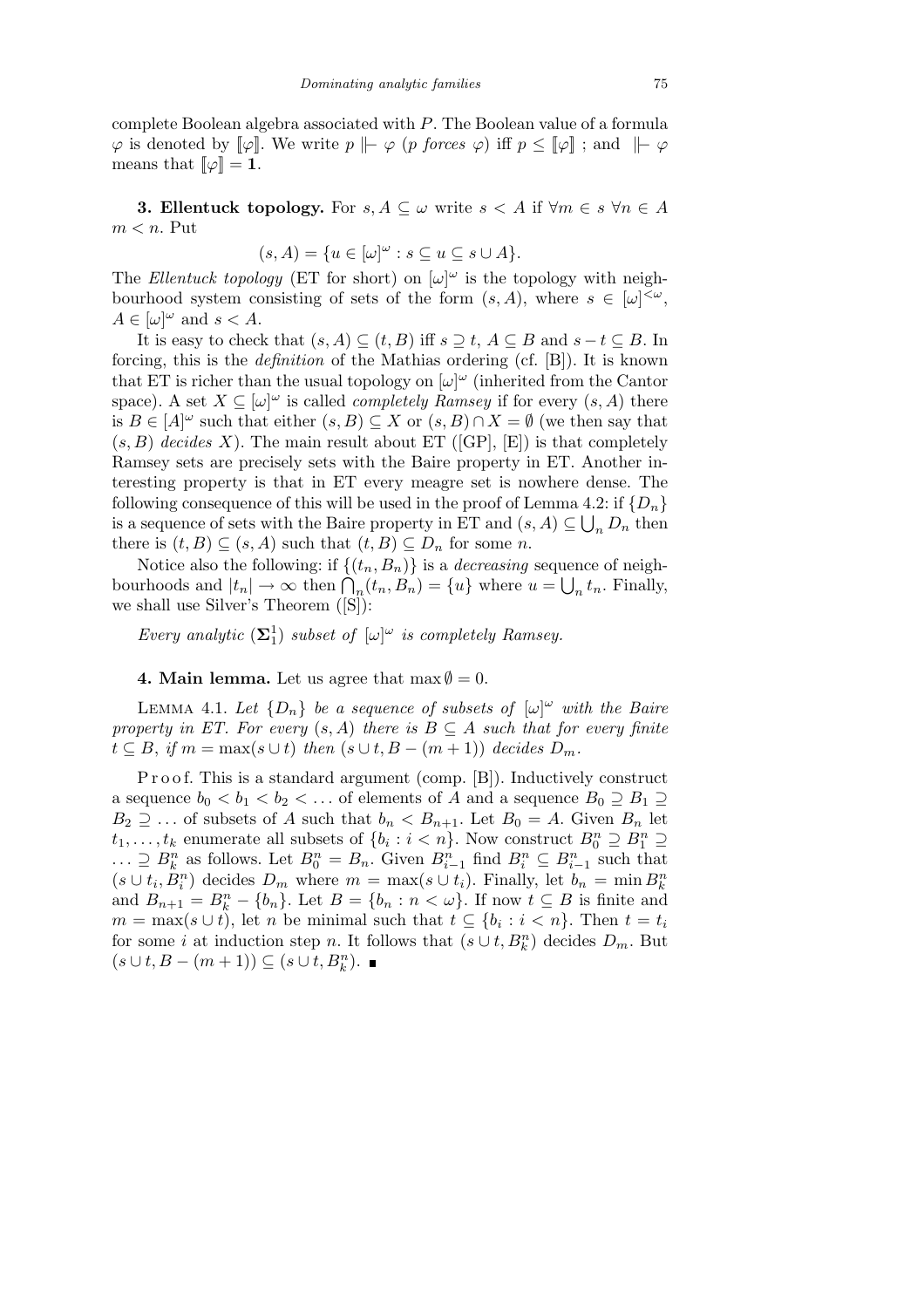complete Boolean algebra associated with *P*. The Boolean value of a formula  $\varphi$  is denoted by  $\llbracket \varphi \rrbracket$ . We write *p*  $\nparallel$   $\varphi$  *(p forces*  $\varphi$ ) iff *p* ≤  $\llbracket \varphi \rrbracket$ ; and  $\nparallel$   $\varphi$ means that  $\llbracket \varphi \rrbracket = \mathbf{1}$ .

**3. Ellentuck topology.** For  $s, A \subseteq \omega$  write  $s < A$  if  $\forall m \in s \forall n \in A$ *m < n*. Put

$$
(s, A) = \{ u \in [\omega]^\omega : s \subseteq u \subseteq s \cup A \}.
$$

The *Ellentuck topology* (ET for short) on  $[\omega]^\omega$  is the topology with neighbourhood system consisting of sets of the form  $(s, A)$ , where  $s \in [\omega]^{<\omega}$ ,  $A \in [\omega]^\omega$  and  $s < A$ .

It is easy to check that  $(s, A) \subseteq (t, B)$  iff  $s \supseteq t$ ,  $A \subseteq B$  and  $s - t \subseteq B$ . In forcing, this is the *definition* of the Mathias ordering (cf. [B]). It is known that ET is richer than the usual topology on  $[\omega]^\omega$  (inherited from the Cantor space). A set  $X \subseteq [\omega]^{\omega}$  is called *completely Ramsey* if for every  $(s, A)$  there is  $B \in [A]^\omega$  such that either  $(s, B) \subseteq X$  or  $(s, B) \cap X = \emptyset$  (we then say that  $(s, B)$  *decides X*). The main result about ET ([GP], [E]) is that completely Ramsey sets are precisely sets with the Baire property in ET. Another interesting property is that in ET every meagre set is nowhere dense. The following consequence of this will be used in the proof of Lemma 4.2: if  $\{D_n\}$ is a sequence of sets with the Baire property in ET and  $(s, A) \subseteq \bigcup_n D_n$  then there is  $(t, B) \subseteq (s, A)$  such that  $(t, B) \subseteq D_n$  for some *n*.

Notice also the following: if  $\{(t_n, B_n)\}\)$  is a *decreasing* sequence of neighbourhoods and  $|t_n| \to \infty$  then  $\bigcap_n (t_n, B_n) = \{u\}$  where  $u = \bigcup_n t_n$ . Finally, we shall use Silver's Theorem ([S]):

*Every analytic*  $(\mathbf{\Sigma}_1^1)$  *subset of*  $[\omega]^\omega$  *is completely Ramsey.* 

**4. Main lemma.** Let us agree that  $\max \emptyset = 0$ .

LEMMA 4.1. Let  $\{D_n\}$  be a sequence of subsets of  $[\omega]^\omega$  with the Baire *property in ET. For every*  $(s, A)$  *there is*  $B \subseteq A$  *such that for every finite*  $t \subseteq B$ , *if*  $m = \max(s \cup t)$  *then*  $(s \cup t, B - (m + 1))$  *decides*  $D_m$ *.* 

P r o o f. This is a standard argument (comp. [B]). Inductively construct a sequence  $b_0 < b_1 < b_2 < \ldots$  of elements of *A* and a sequence  $B_0 \supseteq B_1 \supseteq$  $B_2 \supseteq \ldots$  of subsets of *A* such that  $b_n < B_{n+1}$ . Let  $B_0 = A$ . Given  $B_n$  let  $t_1, \ldots, t_k$  enumerate all subsets of  $\{b_i : i < n\}$ . Now construct  $B_0^n \supseteq B_1^n \supseteq B_2^n$  $\ldots \supseteq B_k^n$  as follows. Let  $B_0^n = B_n$ . Given  $B_{i-1}^n$  find  $B_i^n \subseteq B_{i-1}^n$  such that  $(s \cup t_i, B_i^n)$  decides  $D_m$  where  $m = \max(s \cup t_i)$ . Finally, let  $b_n = \min B_k^n$ and  $B_{n+1} = B_k^n - \{b_n\}$ . Let  $B = \{b_n : n < \omega\}$ . If now  $t \subseteq B$  is finite and  $m = \max(s \cup t)$ , let *n* be minimal such that  $t \subseteq \{b_i : i < n\}$ . Then  $t = t_i$ for some *i* at induction step *n*. It follows that  $(s \cup t, B_k^n)$  decides  $D_m$ . But  $(s \cup t, B - (m + 1)) \subseteq (s \cup t, B_k^n).$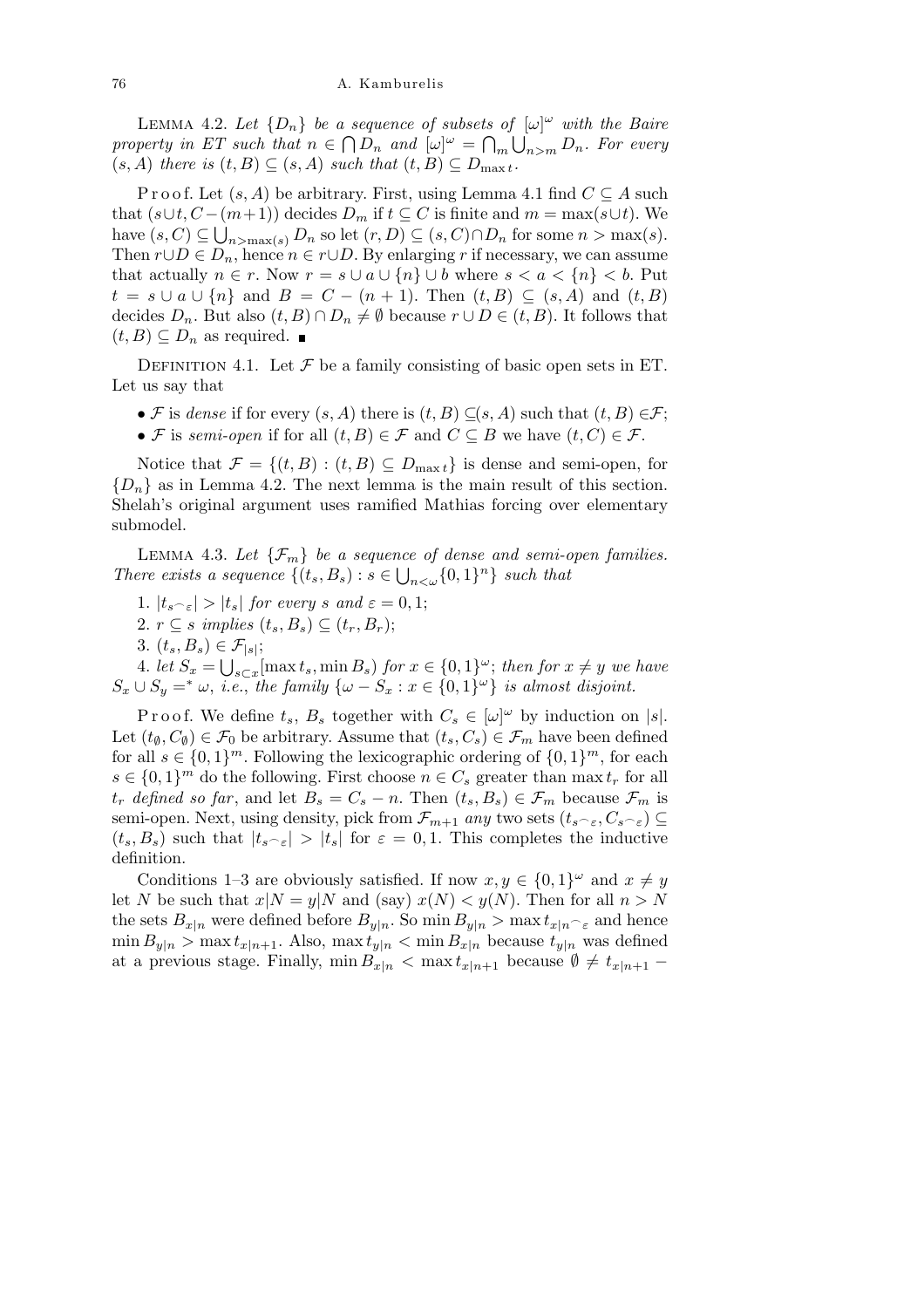LEMMA 4.2. Let  $\{D_n\}$  be a sequence of subsets of  $[\omega]^\omega$  with the Baire *property in ET such that*  $n \in \bigcap D_n$  *and*  $[\omega]^\omega = \bigcap_m \bigcup_{n>m} D_n$ . For every  $(s, A)$  *there is*  $(t, B) \subseteq (s, A)$  *such that*  $(t, B) \subseteq D_{\max t}$ .

Proof. Let  $(s, A)$  be arbitrary. First, using Lemma 4.1 find  $C \subseteq A$  such that  $(s \cup t, C - (m+1))$  decides  $D_m$  if  $t \subseteq C$  is finite and  $m = \max(s \cup t)$ . We have  $(s, C) \subseteq \bigcup_{n > \max(s)} D_n$  so let  $(r, D) \subseteq (s, C) \cap D_n$  for some  $n > \max(s)$ . Then  $r \cup D \in D_n$ , hence  $n \in r \cup D$ . By enlarging r if necessary, we can assume that actually  $n \in r$ . Now  $r = s \cup a \cup \{n\} \cup b$  where  $s < a < \{n\} < b$ . Put *t* = *s ∪ a ∪*  $\{n\}$  and *B* = *C* − (*n* + 1). Then (*t, B*) ⊆ (*s, A*) and (*t, B*) decides  $D_n$ . But also  $(t, B) \cap D_n \neq \emptyset$  because  $r \cup D \in (t, B)$ . It follows that  $(t, B)$  ⊂  $D_n$  as required.  $\blacksquare$ 

DEFINITION 4.1. Let  $\mathcal F$  be a family consisting of basic open sets in ET. Let us say that

- *F* is *dense* if for every  $(s, A)$  there is  $(t, B) \subseteq (s, A)$  such that  $(t, B) \in \mathcal{F}$ ;
- *• <i>F* is *semi-open* if for all  $(t, B) \in \mathcal{F}$  and  $C \subseteq B$  we have  $(t, C) \in \mathcal{F}$ .

Notice that  $\mathcal{F} = \{(t, B) : (t, B) \subseteq D_{\max t}\}\$ is dense and semi-open, for  ${D_n}$  as in Lemma 4.2. The next lemma is the main result of this section. Shelah's original argument uses ramified Mathias forcing over elementary submodel.

LEMMA 4.3. Let  $\{\mathcal{F}_m\}$  be a sequence of dense and semi-open families. *There exists a sequence*  $\{(t_s, B_s) : s \in \bigcup_{n < \omega} \{0, 1\}^n\}$  *such that* 

- 1.  $|t_{s-\varepsilon}| > |t_{s}|$  for every *s* and  $\varepsilon = 0, 1$ ;
- 2.  $r \subseteq s$  *implies*  $(t_s, B_s) \subseteq (t_r, B_r);$
- 3.  $(t_s, B_s) \in \mathcal{F}_{|s|};$

4. let  $S_x = \bigcup_{s \subset x} [\max t_s, \min B_s)$  for  $x \in \{0, 1\}^\omega$ ; then for  $x \neq y$  we have  $S_x \cup S_y = * \omega$ , *i.e.*, *the family*  $\{\omega - S_x : x \in \{0,1\}^\omega\}$  *is almost disjoint.* 

Proof. We define  $t_s$ ,  $B_s$  together with  $C_s \in [\omega]^\omega$  by induction on  $|s|$ . Let  $(t_{\emptyset}, C_{\emptyset}) \in \mathcal{F}_0$  be arbitrary. Assume that  $(t_s, C_s) \in \mathcal{F}_m$  have been defined for all  $s \in \{0,1\}^m$ . Following the lexicographic ordering of  $\{0,1\}^m$ , for each  $s \in \{0,1\}^m$  do the following. First choose  $n \in C_s$  greater than max  $t_r$  for all  $t_r$  *defined so far*, and let  $B_s = C_s - n$ . Then  $(t_s, B_s) \in \mathcal{F}_m$  because  $\mathcal{F}_m$  is semi-open. Next, using density, pick from  $\mathcal{F}_{m+1}$  *any* two sets  $(t_s, \epsilon, C_s, \epsilon) \subseteq$  $(t_s, B_s)$  such that  $|t_{s<\epsilon}| > |t_s|$  for  $\epsilon = 0, 1$ . This completes the inductive definition.

Conditions 1–3 are obviously satisfied. If now  $x, y \in \{0, 1\}^\omega$  and  $x \neq y$ let *N* be such that  $x|N = y|N$  and (say)  $x(N) < y(N)$ . Then for all  $n > N$ the sets  $B_{x|n}$  were defined before  $B_{y|n}$ . So  $\min B_{y|n} > \max t_{x|n} \text{ and hence}$  $\min B_{\nu|n} > \max t_{x|n+1}$ . Also,  $\max t_{\nu|n} < \min B_{x|n}$  because  $t_{\nu|n}$  was defined at a previous stage. Finally,  $\min B_{x|n} < \max t_{x|n+1}$  because  $\emptyset \neq t_{x|n+1}$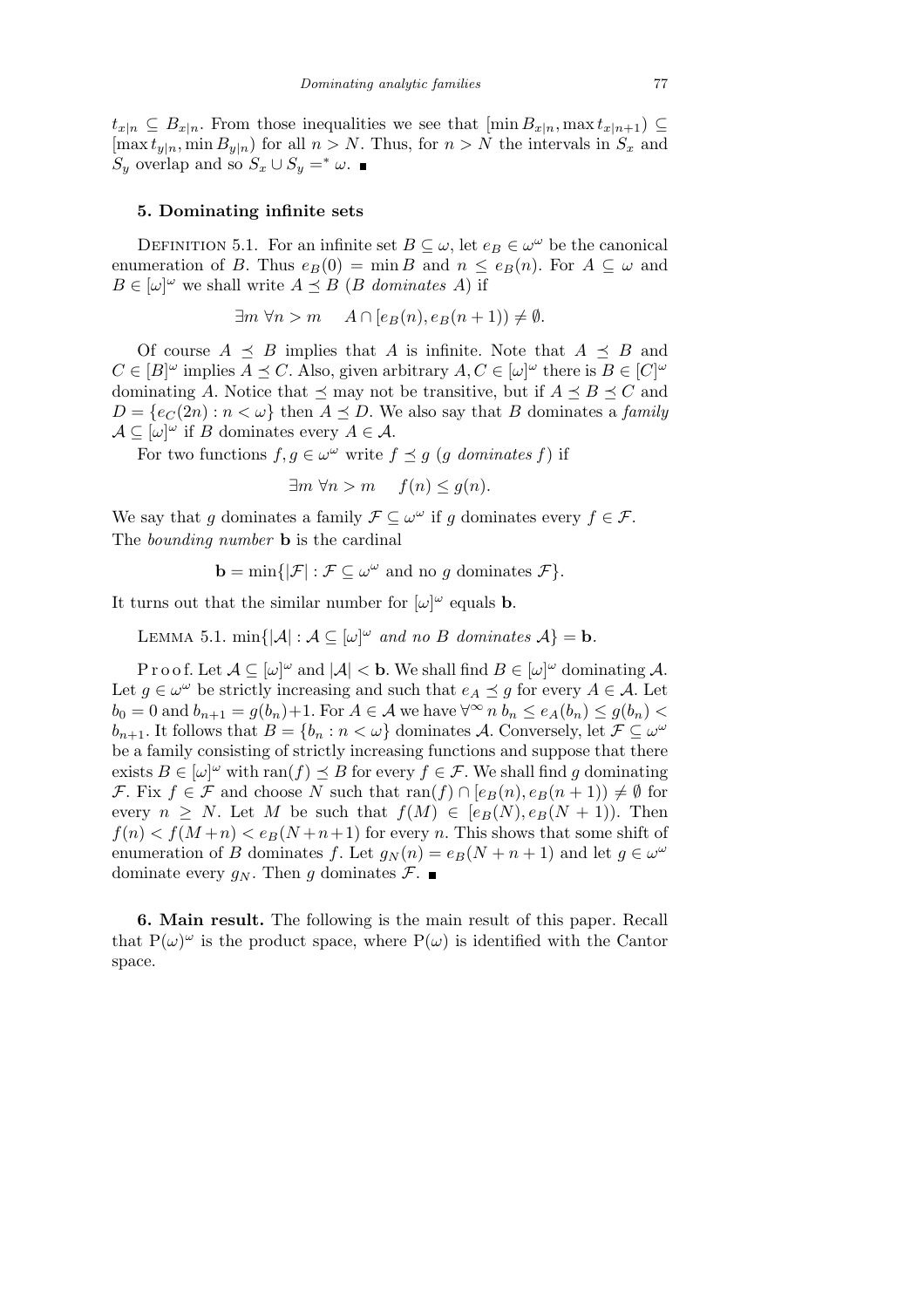$t_{x|n} \subseteq B_{x|n}$ . From those inequalities we see that  $[\min B_{x|n}, \max t_{x|n+1}) \subseteq$  $[\max t_{y|n}, \min B_{y|n}]$  for all  $n > N$ . Thus, for  $n > N$  the intervals in  $S_x$  and *S*<sup>*y*</sup> overlap and so  $S_x \cup S_y = * \omega$ .

## **5. Dominating infinite sets**

DEFINITION 5.1. For an infinite set  $B \subseteq \omega$ , let  $e_B \in \omega^\omega$  be the canonical enumeration of *B*. Thus  $e_B(0) = \min B$  and  $n \le e_B(n)$ . For  $A \subseteq \omega$  and  $B \in [\omega]^\omega$  we shall write  $A \preceq B$  (*B dominates A*) if

$$
\exists m \,\forall n > m \quad A \cap [e_B(n), e_B(n+1)) \neq \emptyset.
$$

Of course  $A \prec B$  implies that *A* is infinite. Note that  $A \prec B$  and  $C \in [B]^\omega$  implies  $A \preceq C$ . Also, given arbitrary  $A, C \in [\omega]^\omega$  there is  $B \in [C]^\omega$ dominating *A*. Notice that  $\leq$  may not be transitive, but if  $A \leq B \leq C$  and  $D = \{e_C(2n) : n < \omega\}$  then  $A \preceq D$ . We also say that *B* dominates a *family*  $\mathcal{A} \subseteq [\omega]^\omega$  if *B* dominates every  $A \in \mathcal{A}$ .

For two functions  $f, g \in \omega^\omega$  write  $f \preceq g$  (*g* dominates f) if

$$
\exists m \,\forall n > m \quad f(n) \le g(n).
$$

We say that *g* dominates a family  $\mathcal{F} \subseteq \omega^\omega$  if *g* dominates every  $f \in \mathcal{F}$ . The *bounding number* **b** is the cardinal

$$
\mathbf{b} = \min\{|\mathcal{F}| : \mathcal{F} \subseteq \omega^{\omega} \text{ and no } g \text{ dominates } \mathcal{F}\}.
$$

It turns out that the similar number for  $[\omega]^\omega$  equals **b**.

LEMMA 5.1.  $\min\{|\mathcal{A}| : \mathcal{A} \subseteq [\omega]^\omega \text{ and no } B \text{ dominates } \mathcal{A}\} = \mathbf{b}.$ 

P r o o f. Let  $A \subseteq [\omega]^\omega$  and  $|A| < b$ . We shall find  $B \in [\omega]^\omega$  dominating A. Let  $g \in \omega^\omega$  be strictly increasing and such that  $e_A \preceq g$  for every  $A \in \mathcal{A}$ . Let  $b_0 = 0$  and  $b_{n+1} = g(b_n) + 1$ . For  $A \in \mathcal{A}$  we have  $\forall^{\infty} n b_n \le e_A(b_n) \le g(b_n)$ *b*<sub>*n*+1</sub>. It follows that  $B = \{b_n : n < \omega\}$  dominates *A*. Conversely, let  $\mathcal{F} \subseteq \omega^{\omega}$ be a family consisting of strictly increasing functions and suppose that there exists  $B \in [\omega]^\omega$  with ran(*f*)  $\leq B$  for every  $f \in \mathcal{F}$ . We shall find *g* dominating *F*. Fix  $f \in \mathcal{F}$  and choose *N* such that  $\text{ran}(f) \cap [e_B(n), e_B(n+1)) \neq \emptyset$  for every  $n \geq N$ . Let M be such that  $f(M) \in [e_B(N), e_B(N+1))$ . Then  $f(n) < f(M+n) < e_B(N+n+1)$  for every *n*. This shows that some shift of enumeration of *B* dominates *f*. Let  $g_N(n) = e_B(N + n + 1)$  and let  $g \in \omega^\omega$ dominate every  $g_N$ . Then g dominates  $\mathcal{F}$ .

**6. Main result.** The following is the main result of this paper. Recall that  $P(\omega)^\omega$  is the product space, where  $P(\omega)$  is identified with the Cantor space.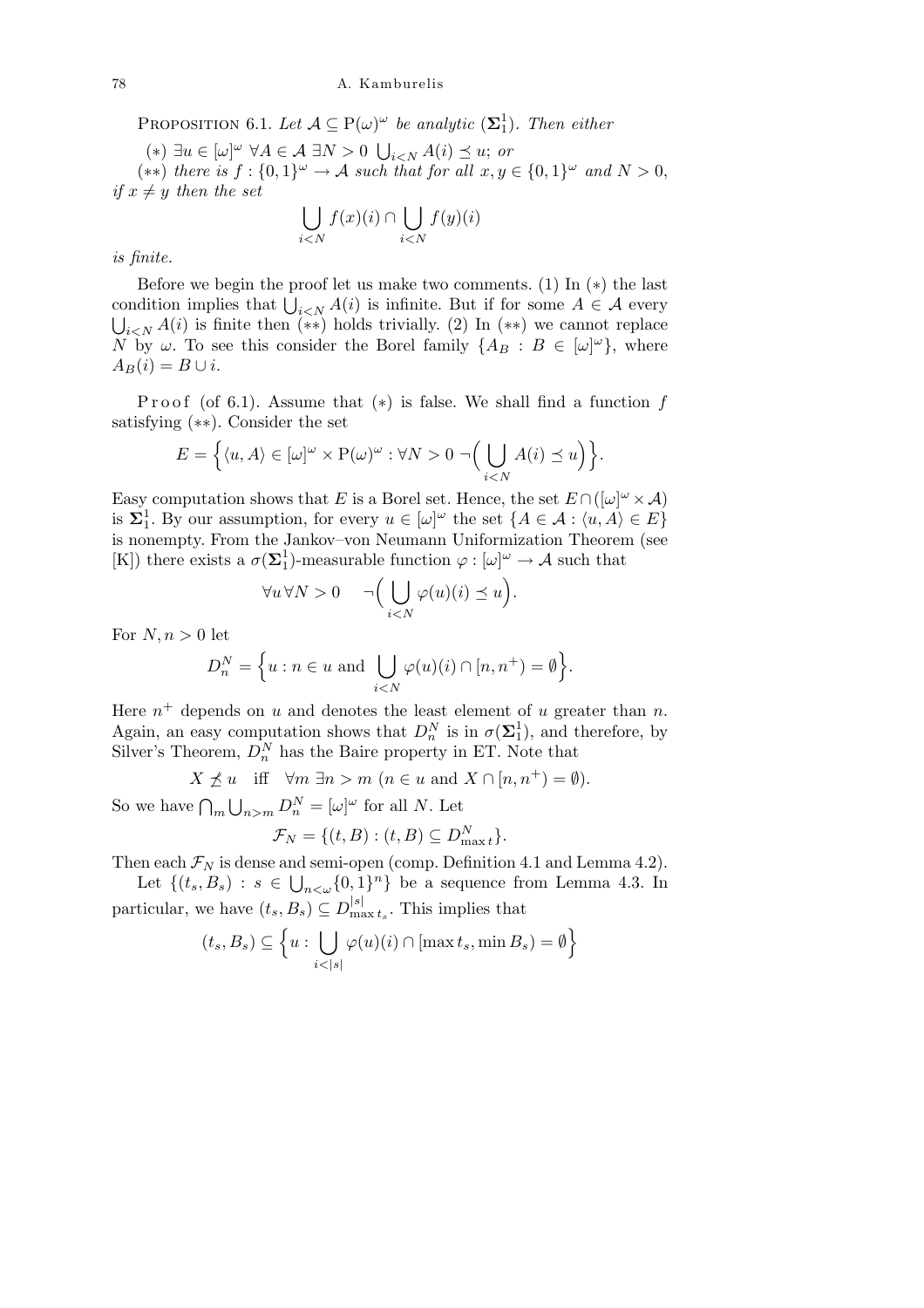PROPOSITION 6.1. Let  $A \subseteq P(\omega)^{\omega}$  be analytic  $(\Sigma_1^1)$ . Then either

(*∗*) *∃u ∈* [*ω*] *<sup>ω</sup> ∀A ∈ A ∃N >* 0 S  $i < N$   $A(i) \preceq u$ ; *or* 

 $(\ast \ast)$  *there is*  $f : \{0,1\}^\omega \to A$  *such that for all*  $x, y \in \{0,1\}^\omega$  *and*  $N > 0$ , *if*  $x \neq y$  *then the set*  $\mathbf{r}$  $\mathbf{r}$ 

$$
\bigcup_{i < N} f(x)(i) \cap \bigcup_{i < N} f(y)(i)
$$

*is finite.*

Before we begin the proof let us make two comments. (1) In (*∗*) the last before we begin the proof let us make two comments. (1) in (\*) the last condition implies that  $\bigcup_{i \leq N} A(i)$  is infinite. But if for some  $A \in \mathcal{A}$  every  $\bigcup_{i\leq N} A(i)$  is finite then (\*\*) holds trivially. (2) In (\*\*) we cannot replace *N* by  $\omega$ . To see this consider the Borel family  $\{A_B : B \in [\omega]^\omega\}$ , where  $A_B(i) = B \cup i$ .

Proof (of 6.1). Assume that  $(*)$  is false. We shall find a function f satisfying (*∗∗*). Consider the set

$$
E = \Big\{ \langle u, A \rangle \in [\omega]^{\omega} \times \mathrm{P}(\omega)^{\omega} : \forall N > 0 \; \neg \Big( \bigcup_{i < N} A(i) \preceq u \Big) \Big\}.
$$

Easy computation shows that *E* is a Borel set. Hence, the set  $E \cap ([\omega]^\omega \times \mathcal{A})$ is  $\Sigma_1^1$ . By our assumption, for every  $u \in [\omega]^\omega$  the set  $\{A \in \mathcal{A} : \langle u, A \rangle \in E\}$ is nonempty. From the Jankov–von Neumann Uniformization Theorem (see [K]) there exists a  $\sigma(\Sigma_1^1)$ -measurable function  $\varphi : [\omega]^\omega \to A$  such that

$$
\forall u \forall N > 0 \qquad \neg \Big( \bigcup_{i < N} \varphi(u)(i) \preceq u \Big)
$$

*.*

For  $N, n > 0$  let

$$
D_n^N = \Big\{ u : n \in u \text{ and } \bigcup_{i < N} \varphi(u)(i) \cap [n, n^+) = \emptyset \Big\}.
$$

Here  $n^+$  depends on  $u$  and denotes the least element of  $u$  greater than  $n$ . Again, an easy computation shows that  $D_n^N$  is in  $\sigma(\Sigma_1^1)$ , and therefore, by Silver's Theorem,  $D_n^N$  has the Baire property in ET. Note that

 $X \nless u$  iff  $\forall m \exists n > m \ (n \in u \text{ and } X \cap [n, n^+) = \emptyset$ ).

So we have  $\bigcap_{m=1}^{\infty}$  $\bigcup_{n>m} D_n^N = [\omega]^\omega$  for all *N*. Let

$$
\mathcal{F}_N = \{ (t, B) : (t, B) \subseteq D_{\max t}^N \}.
$$

Then each  $\mathcal{F}_N$  is dense and semi-open (comp. Definition 4.1 and Lemma 4.2). nd<br>E

Let  ${(t_s, B_s): s ∈$  $_{n<\omega}\{0,1\}$ <sup>n</sup> $\}$  be a sequence from Lemma 4.3. In particular, we have  $(t_s, B_s) \subseteq D_{\text{ma}}^{|s|}$  $\sum_{\text{max }t_s}^{|s|}$ . This implies that o

$$
(t_s, B_s) \subseteq \left\{ u : \bigcup_{i < |s|} \varphi(u)(i) \cap [\max t_s, \min B_s) = \emptyset \right\}
$$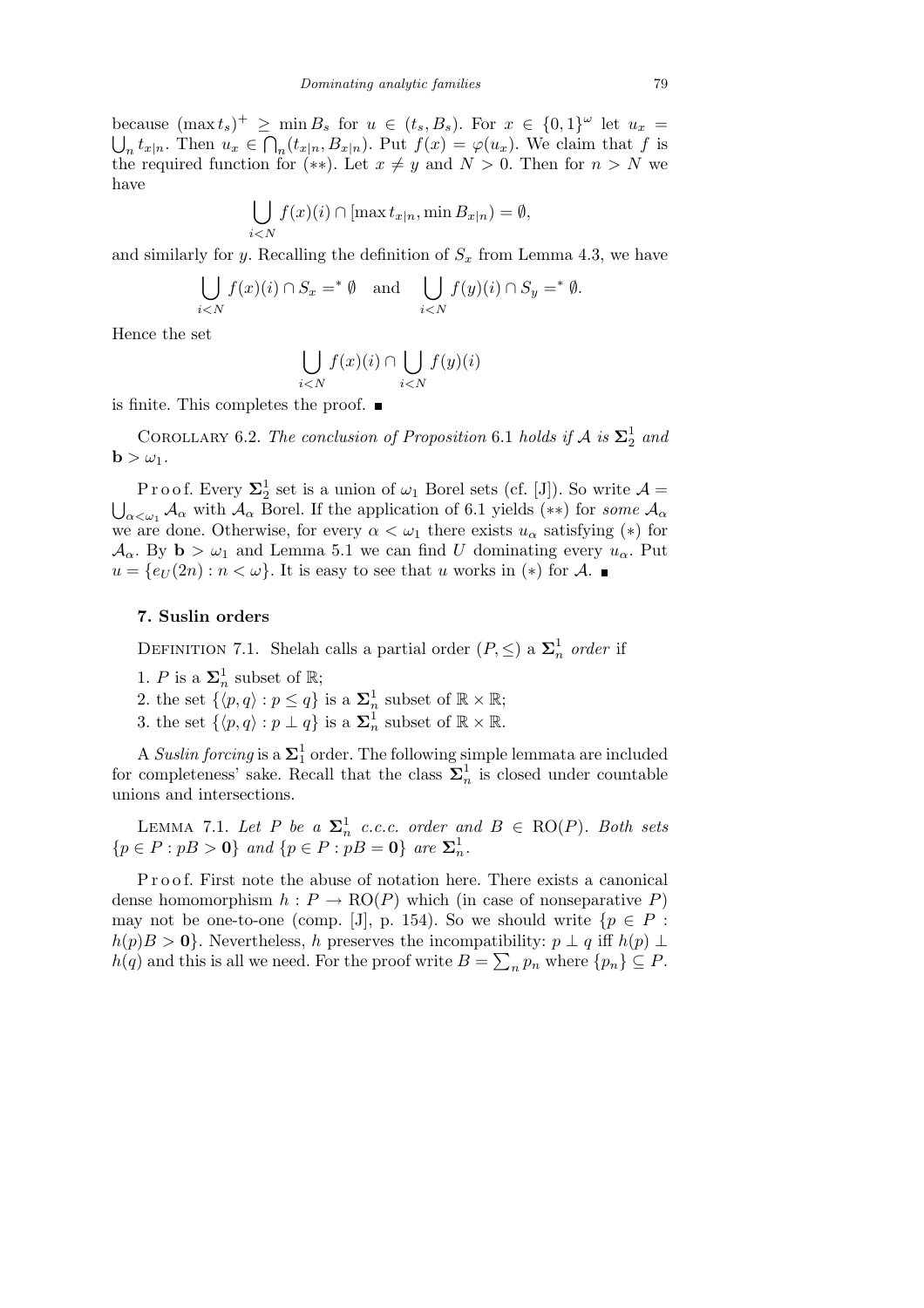because  $(\max t_s)^+ \ge \min B_s$  for  $u \in (t_s, B_s)$ . For  $x \in \{0,1\}^\omega$  let  $u_x =$  $_t t_{x|n}$ . Then  $u_x \in \bigcap_n (t_{x|n}, B_{x|n})$ . Put  $f(x) = \varphi(u_x)$ . We claim that f is the required function for (\*\*). Let  $x \neq y$  and  $N > 0$ . Then for  $n > N$  we have

$$
\bigcup_{i < N} f(x)(i) \cap [\max t_{x|n}, \min B_{x|n}) = \emptyset,
$$

and similarly for *y*. Recalling the definition of  $S_x$  from Lemma 4.3, we have

$$
\bigcup_{i < N} f(x)(i) \cap S_x =^* \emptyset \quad \text{and} \quad \bigcup_{i < N} f(y)(i) \cap S_y =^* \emptyset.
$$

Hence the set

$$
\bigcup_{i
$$

is finite. This completes the proof.  $\blacksquare$ 

COROLLARY 6.2. *The conclusion of Proposition* 6.1 *holds if*  $A$  *is*  $\Sigma^1_2$  *and*  $\mathbf{b} > \omega_1$ .

P r o o f. Every  $\Sigma_2^1$  set is a union of  $\omega_1$  Borel sets (cf. [J]). So write  $\mathcal{A} =$ *α α*<sub>*α*</sub> *A*<sub>*α*</sub> with *A*<sub>*α*</sub> Borel. If the application of 6.1 yields (\*\*) for *some A*<sub>*α*</sub> we are done. Otherwise, for every  $\alpha < \omega_1$  there exists  $u_\alpha$  satisfying (\*) for  $\mathcal{A}_{\alpha}$ . By **b**  $> \omega_1$  and Lemma 5.1 we can find *U* dominating every  $u_{\alpha}$ . Put  $u = \{e_U(2n) : n < \omega\}$ . It is easy to see that *u* works in (\*) for *A*.

### **7. Suslin orders**

DEFINITION 7.1. Shelah calls a partial order  $(P, \leq)$  a  $\Sigma_n^1$  order if

1. *P* is a  $\Sigma_n^1$  subset of R;

2. the set  $\{\langle p, q \rangle : p \leq q\}$  is a  $\Sigma_n^1$  subset of  $\mathbb{R} \times \mathbb{R}$ ;

3. the set  $\{\langle p, q \rangle : p \perp q\}$  is a  $\Sigma_n^1$  subset of  $\mathbb{R} \times \mathbb{R}$ .

A *Suslin forcing* is a  $\Sigma^1_1$  order. The following simple lemmata are included for completeness' sake. Recall that the class  $\Sigma_n^1$  is closed under countable unions and intersections.

LEMMA 7.1. Let P be a  $\Sigma_n^1$  c.c.c. order and  $B \in \text{RO}(P)$ . Both sets  ${p \in P : pB > 0}$  *and*  ${p \in P : pB = 0}$  *are*  $\Sigma_n^1$ *.* 

P r o o f. First note the abuse of notation here. There exists a canonical dense homomorphism  $h : P \to \text{RO}(P)$  which (in case of nonseparative *P*) may not be one-to-one (comp. [J], p. 154). So we should write  $\{p \in P :$  $h(p)B > 0$ . Nevertheless, *h* preserves the incompatibility:  $p \perp q$  iff  $h(p) \perp$ *h*(*q*) and this is all we need. For the proof write  $B = \sum_{n} p_n$  where  $\{p_n\} \subseteq P$ .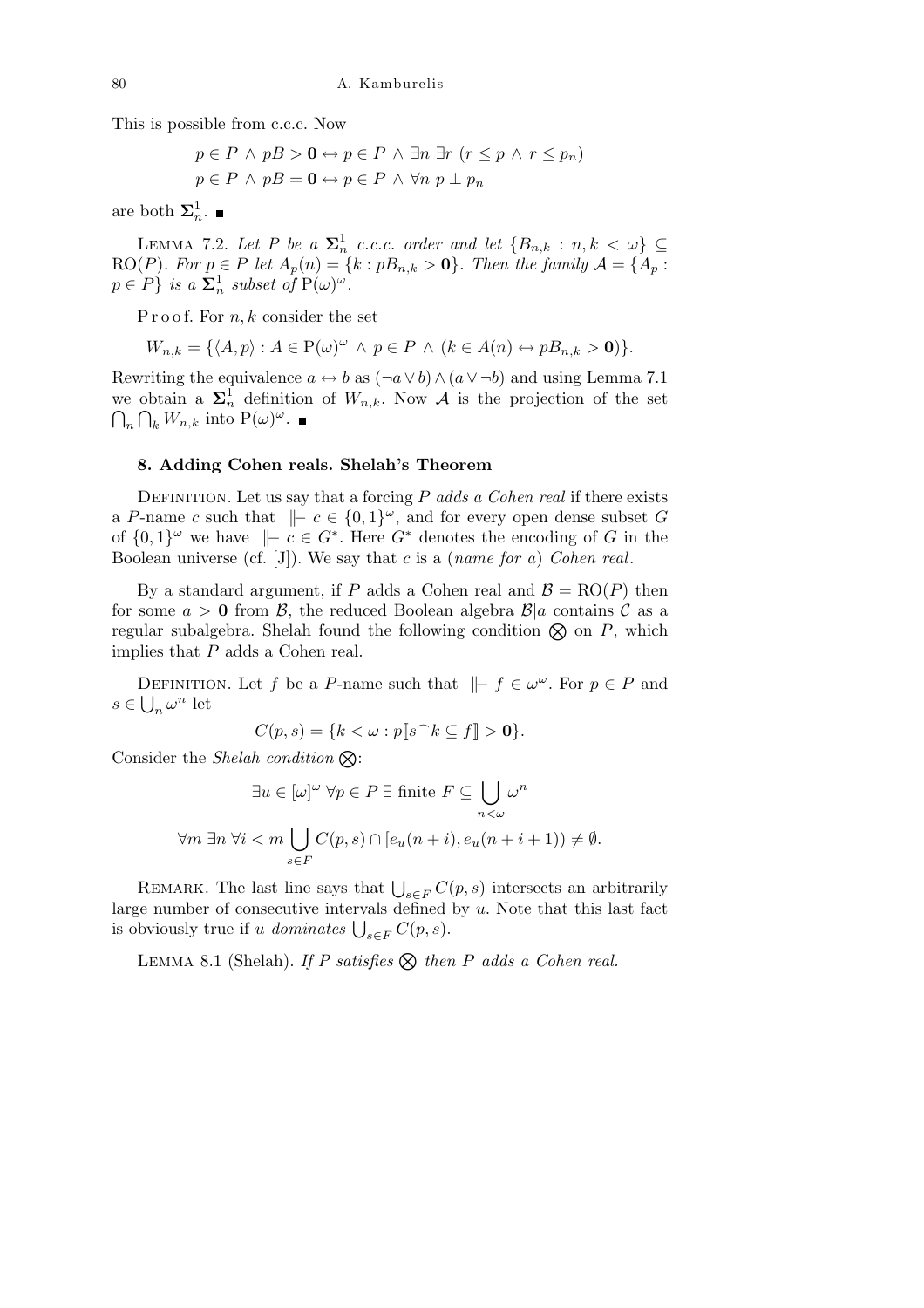This is possible from c.c.c. Now

$$
p \in P \land pB > \mathbf{0} \leftrightarrow p \in P \land \exists n \exists r \ (r \le p \land r \le p_n)
$$
  

$$
p \in P \land pB = \mathbf{0} \leftrightarrow p \in P \land \forall n \ p \perp p_n
$$

are both  $\Sigma_n^1$ .

LEMMA 7.2. Let P be a  $\Sigma_n^1$  c.c.c. order and let  $\{B_{n,k} : n, k < \omega\} \subseteq$ RO(*P*)*. For*  $p \in P$  *let*  $A_p(n) = \{k : pB_{n,k} > 0\}$ *. Then the family*  $A = \{A_p : pB_p = 0\}$  $p \in P$ *} is a*  $\mathbf{\Sigma}_n^1$  *subset of*  $P(\omega)^\omega$ *.* 

P r o o f. For *n*, *k* consider the set

$$
W_{n,k} = \{ \langle A, p \rangle : A \in \mathcal{P}(\omega)^{\omega} \land p \in P \land (k \in A(n) \leftrightarrow pB_{n,k} > 0) \}.
$$

Rewriting the equivalence  $a \leftrightarrow b$  as  $(\neg a \lor b) \land (a \lor \neg b)$  and using Lemma 7.1 we obtain a  $\Sigma_n^{\mathcal{I}}$  definition of  $W_{n,k}$ . Now  $\mathcal{A}$  is the projection of the set  $P_k W_{n,k}$  into  $P(\omega)^\omega$ .

## **8. Adding Cohen reals. Shelah's Theorem**

DEFINITION. Let us say that a forcing *P adds a Cohen real* if there exists a *P*-name *c* such that  $\vert \vert -c \in \{0,1\}^\omega$ , and for every open dense subset *G* of  $\{0,1\}^\omega$  we have  $\|\textit{-} c \in G^*$ . Here  $G^*$  denotes the encoding of *G* in the Boolean universe (cf. [J]). We say that *c* is a (*name for a*) *Cohen real*.

By a standard argument, if *P* adds a Cohen real and  $\mathcal{B} = \text{RO}(P)$  then for some  $a > 0$  from  $\beta$ , the reduced Boolean algebra  $\beta | a$  contains  $\beta a$  as a regular subalgebra. Shelah found the following condition  $\otimes$  on *P*, which implies that *P* adds a Cohen real.

DEFINITION. Let *f* be a *P*-name such that  $\| \text{-} f \in \omega^\omega$ . For  $p \in P$  and  $s \in \bigcup_{n} \omega^{n}$  let

$$
C(p,s) = \{k < \omega : p[\![s^\frown k \subseteq f]\!] > \mathbf{0}\}.
$$

Consider the *Shelah condition*  $\otimes$ :

$$
\exists u \in [\omega]^\omega \,\forall p \in P \,\exists \text{ finite } F \subseteq \bigcup_{n < \omega} \omega^n
$$
\n
$$
\forall m \,\exists n \,\forall i < m \bigcup_{s \in F} C(p, s) \cap [e_u(n + i), e_u(n + i + 1)) \neq \emptyset.
$$

REMARK. The last line says that  $\bigcup_{s \in F} C(p, s)$  intersects an arbitrarily large number of consecutive intervals defined by *u*. Note that this last fact  $\iint$  is obviously true if *u dominates*  $\bigcup_{s \in F} C(p, s)$ .

LEMMA 8.1 (Shelah). *If P satisfies*  $\otimes$  *then P adds a Cohen real.*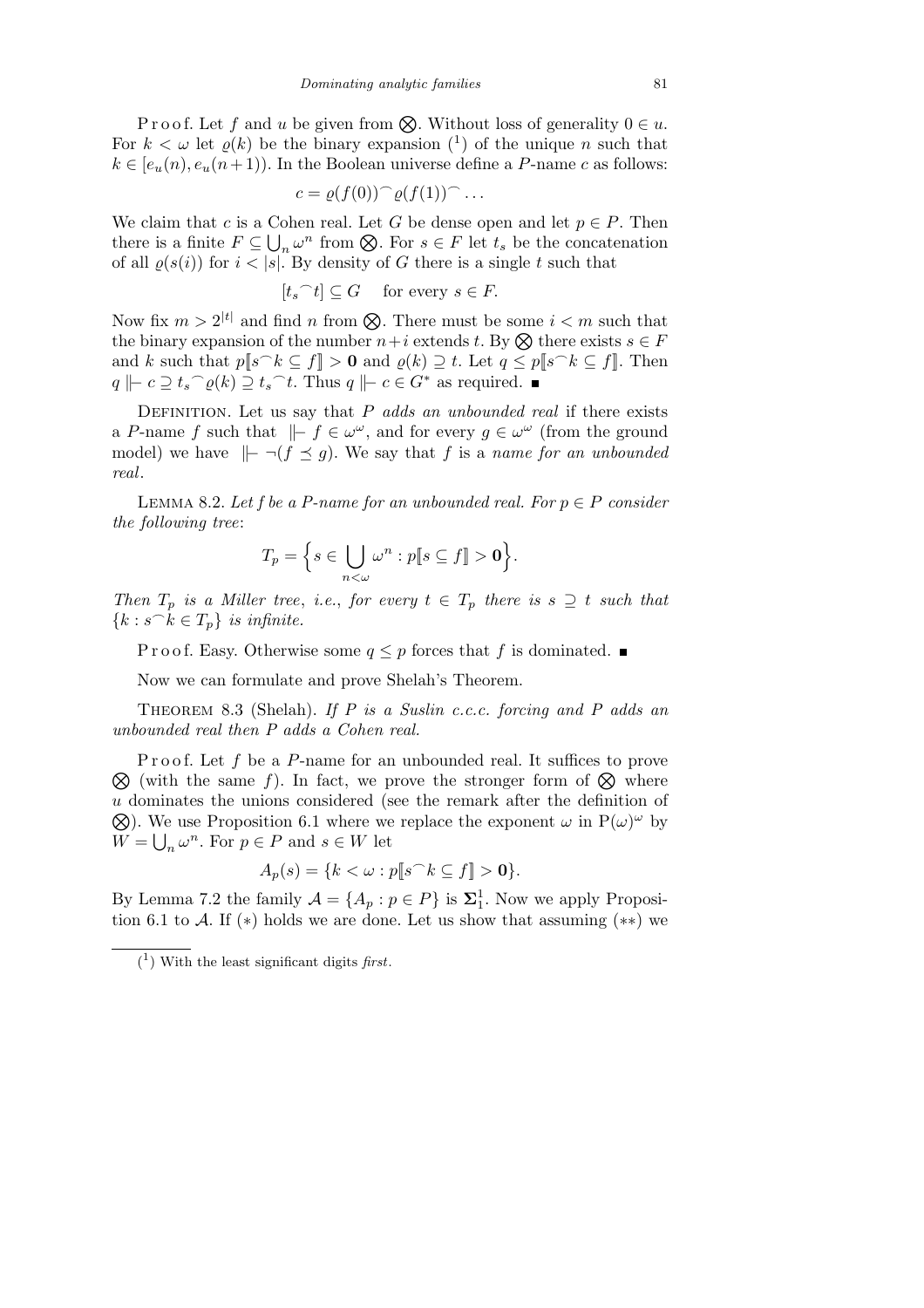P r o o f. Let f and *u* be given from  $\otimes$ . Without loss of generality  $0 \in u$ . For  $k < \omega$  let  $\varrho(k)$  be the binary expansion  $\binom{1}{k}$  of the unique *n* such that  $k \in [e_u(n), e_u(n+1))$ . In the Boolean universe define a *P*-name *c* as follows:

$$
c = \varrho(f(0))^\frown \varrho(f(1))^\frown \dots
$$

We claim that *c* is a Cohen real. Let *G* be dense open and let  $p \in P$ . Then there is a finite  $F \subseteq$ ں<br>ت be *n* from  $\otimes$ . For  $s \in F$  let  $t_s$  be the concatenation  $n \omega^n$  from  $\otimes$ . For  $s \in F$  let  $t_s$  be the concatenation of all  $\rho(s(i))$  for  $i < |s|$ . By density of *G* there is a single *t* such that

$$
[t_s\widehat{\phantom{\alpha}} t] \subseteq G
$$
 for every  $s \in F$ .

Now fix  $m > 2^{|t|}$  and find *n* from  $\otimes$ . There must be some  $i < m$  such that the binary expansion of the number  $n+i$  extends *t*. By  $\otimes$  there exists  $s \in F$ and *k* such that  $p[s\hat{ }k\subseteq f] > 0$  and  $\varrho(k) \supseteq t$ . Let  $q \leq p[s\hat{ }k\subseteq f]$ . Then  $q \mid c \supseteq t_s \supseteq q(k) \supseteq t_s \supseteq t$ . Thus  $q \mid c \in G^*$  as required.

DEFINITION. Let us say that *P adds an unbounded real* if there exists a *P*-name *f* such that  $\| \textbf{=} f \in \omega^{\omega}$ , and for every  $g \in \omega^{\omega}$  (from the ground model) we have  $\Vert - \neg (f \preceq g)$ . We say that *f* is a *name for an unbounded real*.

LEMMA 8.2. Let f be a P-name for an unbounded real. For  $p \in P$  consider *the following tree*:

$$
T_p = \Big\{ s \in \bigcup_{n < \omega} \omega^n : p[\![s \subseteq f]\!] > \mathbf{0} \Big\}.
$$

*Then*  $T_p$  *is a Miller tree, i.e., for every*  $t \in T_p$  *there is*  $s \supseteq t$  *such that*  ${k : s^k \in T_p}$  *is infinite.* 

P r o o f. Easy. Otherwise some  $q \leq p$  forces that f is dominated.

Now we can formulate and prove Shelah's Theorem.

Theorem 8.3 (Shelah). *If P is a Suslin c.c.c. forcing and P adds an unbounded real then P adds a Cohen real.*

F root. Let *f* be a *F*-name for an unbounded real. It sumes to prove  $\otimes$  (with the same *f*). In fact, we prove the stronger form of  $\otimes$  where Proof. Let f be a P-name for an unbounded real. It suffices to prove *u*dominates the unions considered (see the remark after the definition of  $\Omega$ ) ). We use Proposition 6.1 where we replace the exponent  $\omega$  in  $P(\omega)^{\omega}$  by  $W = \bigcup_{n} \omega^{n}$ . For  $p \in P$  and  $s \in W$  let

$$
A_p(s) = \{k < \omega : p[\![s^\frown k \subseteq f]\!] > \mathbf{0}\}.
$$

By Lemma 7.2 the family  $\mathcal{A} = \{A_p : p \in P\}$  is  $\Sigma_1^1$ . Now we apply Proposition 6.1 to *A*. If (*∗*) holds we are done. Let us show that assuming (*∗∗*) we

<sup>(</sup> 1 ) With the least significant digits *first*.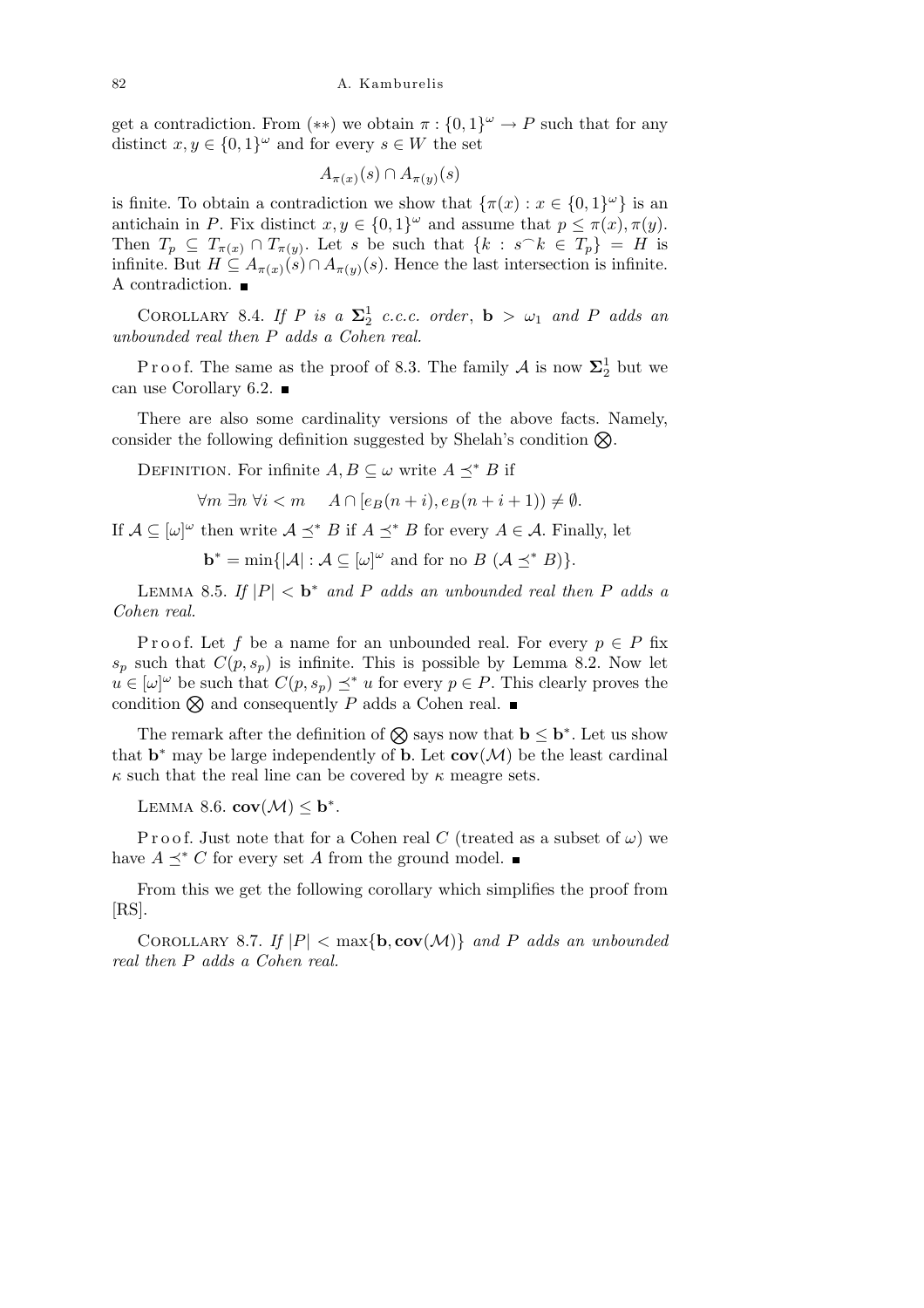get a contradiction. From  $(**)$  we obtain  $\pi : \{0,1\}^\omega \to P$  such that for any distinct  $x, y \in \{0, 1\}^\omega$  and for every  $s \in W$  the set

$$
A_{\pi(x)}(s) \cap A_{\pi(y)}(s)
$$

is finite. To obtain a contradiction we show that  $\{\pi(x) : x \in \{0,1\}^\omega\}$  is an antichain in *P*. Fix distinct  $x, y \in \{0, 1\}^\omega$  and assume that  $p \leq \pi(x), \pi(y)$ . Then  $T_p \subseteq T_{\pi(x)} \cap T_{\pi(y)}$ . Let *s* be such that  $\{k : s^k \in T_p\} = H$  is infinite. But  $H \subseteq A_{\pi(x)}(s) \cap A_{\pi(y)}(s)$ . Hence the last intersection is infinite. A contradiction.  $\blacksquare$ 

COROLLARY 8.4. *If P* is a  $\Sigma^1_2$  *c.c.c. order*, **b** >  $\omega_1$  *and P adds* an *unbounded real then P adds a Cohen real.*

P r o o f. The same as the proof of 8.3. The family  $A$  is now  $\Sigma^1_2$  but we can use Corollary 6.2.  $\blacksquare$ 

There are also some cardinality versions of the above facts. Namely, consider the following definition suggested by Shelah's condition  $\otimes$ .

DEFINITION. For infinite  $A, B \subseteq \omega$  write  $A \prec^* B$  if

*∀m*  $\exists n \forall i < m$  *A*  $\cap$  [ $e_B(n+i)$ *,*  $e_B(n+i+1)$ ]  $\neq \emptyset$ *.* 

If  $A \subseteq [\omega]^\omega$  then write  $A \preceq^* B$  if  $A \preceq^* B$  for every  $A \in \mathcal{A}$ . Finally, let

 $\mathbf{b}^* = \min\{|\mathcal{A}| : \mathcal{A} \subseteq [\omega]^\omega \text{ and for no } B(\mathcal{A} \preceq^* B)\}.$ 

LEMMA 8.5. *If*  $|P| < b^*$  and *P* adds an unbounded real then *P* adds a *Cohen real.*

Proof. Let f be a name for an unbounded real. For every  $p \in P$  fix  $s_p$  such that  $C(p, s_p)$  is infinite. This is possible by Lemma 8.2. Now let  $u \in [\omega]^{\omega}$  be such that  $C(p, s_p) \preceq^* u$  for every  $p \in P$ . This clearly proves the condition  $\otimes$  and consequently *P* adds a Cohen real.  $\blacksquare$ 

The remark after the definition of  $\otimes$  says now that  $\mathbf{b} \leq \mathbf{b}^*$ . Let us show that  $\mathbf{b}^*$  may be large independently of  $\mathbf{b}$ . Let  $\mathbf{cov}(\mathcal{M})$  be the least cardinal  $\kappa$  such that the real line can be covered by  $\kappa$  meagre sets.

LEMMA 8.6.  $cov(\mathcal{M}) \leq b^*$ .

Proof. Just note that for a Cohen real *C* (treated as a subset of  $\omega$ ) we have  $A \prec^* C$  for every set A from the ground model.  $\blacksquare$ 

From this we get the following corollary which simplifies the proof from  $[RS]$ .

COROLLARY 8.7. If  $|P| < \max\{\mathbf{b}, \mathbf{cov}(\mathcal{M})\}\$  and P adds an unbounded *real then P adds a Cohen real.*